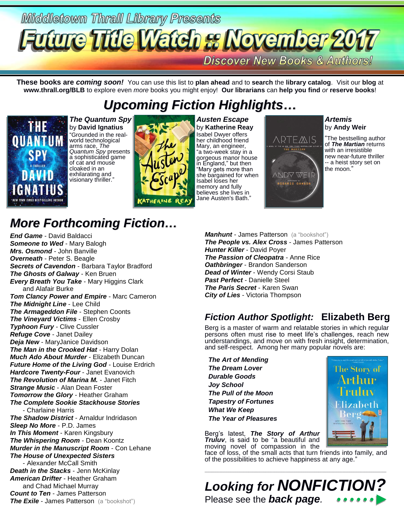## Middletown Thrall Library Presents **Discover New Books & Authors!**

**These books are** *coming soon!* You can use this list to **plan ahead** and to **search** the **library catalog**. Visit our **blog** at **www.thrall.org/BLB** to explore even *more* books you might enjoy! **Our librarians** can **help you find** *or* **reserve books**!

## *Upcoming Fiction Highlights…*



*The Quantum Spy* by **David Ignatius** "Grounded in the realworld technological arms race, *The Quantum Spy* presents a sophisticated game of cat and mouse cloaked in an exhilarating and visionary thriller."



*Austen Escape* by **Katherine Reay** Isabel Dwyer offers her childhood friend Mary, an engineer, "a two-week stay in a gorgeous manor house in England," but then "Mary gets more than she bargained for when Isabel loses her memory and fully believes she lives in Jane Austen's Bath."



*Artemis* by **Andy Weir**

"The bestselling author of *The Martian* returns with an irresistible new near-future thriller -- a heist story set on the moon."

## *More Forthcoming Fiction…*

*End Game* - David Baldacci **Someone to Wed - Mary Balogh** *Mrs. Osmond* - John Banville *Overneath* - Peter S. Beagle *Secrets of Cavendon* - Barbara Taylor Bradford *The Ghosts of Galway* - Ken Bruen *Every Breath You Take* - Mary Higgins Clark and Alafair Burke *Tom Clancy Power and Empire* - Marc Cameron *The Midnight Line* - Lee Child *The Armageddon File* - Stephen Coonts *The Vineyard Victims* - Ellen Crosby *Typhoon Fury* - Clive Cussler *Refuge Cove* - Janet Dailey *Deja New* - MaryJanice Davidson *The Man in the Crooked Hat* - Harry Dolan *Much Ado About Murder* - Elizabeth Duncan *Future Home of the Living God* - Louise Erdrich *Hardcore Twenty-Four* - Janet Evanovich *The Revolution of Marina M.* - Janet Fitch *Strange Music* - Alan Dean Foster *Tomorrow the Glory* - Heather Graham *The Complete Sookie Stackhouse Stories* - Charlaine Harris *The Shadow District* - Arnaldur Indridason *Sleep No More* - P.D. James *In This Moment* - Karen Kingsbury *The Whispering Room* - Dean Koontz *Murder in the Manuscript Room* - Con Lehane *The House of Unexpected Sisters* - Alexander McCall Smith *Death in the Stacks* - Jenn McKinlay *American Drifter* - Heather Graham and Chad Michael Murray *Count to Ten* - James Patterson **The Exile** - James Patterson (a "bookshot")

**Manhunt** - James Patterson (a "bookshot") *The People vs. Alex Cross* - James Patterson *Hunter Killer* - David Poyer *The Passion of Cleopatra* - Anne Rice *Oathbringer* - Brandon Sanderson *Dead of Winter* - Wendy Corsi Staub *Past Perfect* - Danielle Steel *The Paris Secret* - Karen Swan *City of Lies* - Victoria Thompson

### *Fiction Author Spotlight:* **Elizabeth Berg**

Berg is a master of warm and relatable stories in which regular persons often must rise to meet life's challenges, reach new understandings, and move on with fresh insight, determination, and self-respect. Among her many popular novels are:

 *The Art of Mending The Dream Lover Durable Goods Joy School The Pull of the Moon Tapestry of Fortunes What We Keep The Year of Pleasures*



Berg's latest, *The Story of Arthur Truluv*, is said to be "a beautiful and moving novel of compassion in the

face of loss, of the small acts that turn friends into family, and of the possibilities to achieve happiness at any age."

\_\_\_\_\_\_\_\_\_\_\_\_\_\_\_\_\_\_\_\_\_\_\_\_\_\_\_\_\_\_\_\_\_\_\_\_\_\_\_\_\_\_\_\_\_\_\_\_\_\_\_\_\_\_\_\_\_\_\_\_\_\_\_\_\_\_\_\_\_\_\_\_\_\_\_\_\_\_\_\_\_\_\_\_\_\_\_\_\_\_\_\_\_\_\_\_\_\_\_

*Looking for NONFICTION?* Please see the *back page.*